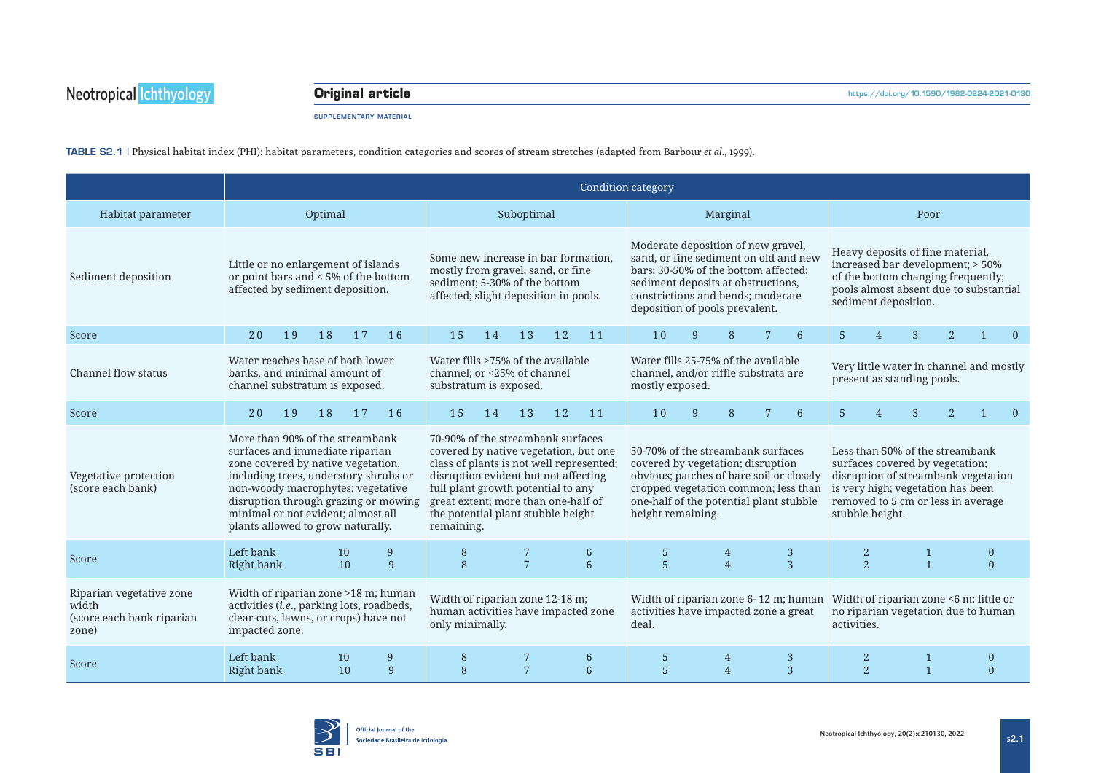## **Original article**

SUPPLEMENTARY MATERIAL

TABLE S2.1 | Physical habitat index (PHI): habitat parameters, condition categories and scores of stream stretches (adapted from Barbour *et al.*, 1999).

|                                                                         | Condition category                                                                                                                                                                                                                                                                                        |    |          |                                                                                                                                                                                                                                                                                                 |                                                                                           |    |                 |                                                                                                                                                                                                                                  |                 |                     |   |                                                                                                                                                                                                         |                                                                               |                |                                |                |   |                                                                               |  |
|-------------------------------------------------------------------------|-----------------------------------------------------------------------------------------------------------------------------------------------------------------------------------------------------------------------------------------------------------------------------------------------------------|----|----------|-------------------------------------------------------------------------------------------------------------------------------------------------------------------------------------------------------------------------------------------------------------------------------------------------|-------------------------------------------------------------------------------------------|----|-----------------|----------------------------------------------------------------------------------------------------------------------------------------------------------------------------------------------------------------------------------|-----------------|---------------------|---|---------------------------------------------------------------------------------------------------------------------------------------------------------------------------------------------------------|-------------------------------------------------------------------------------|----------------|--------------------------------|----------------|---|-------------------------------------------------------------------------------|--|
| Habitat parameter                                                       | Optimal                                                                                                                                                                                                                                                                                                   |    |          |                                                                                                                                                                                                                                                                                                 | Suboptimal                                                                                |    |                 |                                                                                                                                                                                                                                  | Marginal        |                     |   |                                                                                                                                                                                                         | Poor                                                                          |                |                                |                |   |                                                                               |  |
| Sediment deposition                                                     | Little or no enlargement of islands<br>or point bars and < 5% of the bottom<br>affected by sediment deposition.                                                                                                                                                                                           |    |          | Some new increase in bar formation.<br>mostly from gravel, sand, or fine<br>sediment; 5-30% of the bottom<br>affected; slight deposition in pools.                                                                                                                                              |                                                                                           |    |                 | Moderate deposition of new gravel,<br>sand, or fine sediment on old and new<br>bars; 30-50% of the bottom affected;<br>sediment deposits at obstructions,<br>constrictions and bends; moderate<br>deposition of pools prevalent. |                 |                     |   | Heavy deposits of fine material,<br>increased bar development; > 50%<br>of the bottom changing frequently;<br>pools almost absent due to substantial<br>sediment deposition.                            |                                                                               |                |                                |                |   |                                                                               |  |
| Score                                                                   | 20                                                                                                                                                                                                                                                                                                        | 19 | 18<br>17 | 16                                                                                                                                                                                                                                                                                              | 15                                                                                        | 14 | 13              | 12                                                                                                                                                                                                                               | 11              | 10                  | 9 | 8                                                                                                                                                                                                       | 6                                                                             | $\overline{5}$ | $\boldsymbol{\vartriangle}$    | 3              | 2 | $\Omega$                                                                      |  |
| Channel flow status                                                     | Water reaches base of both lower<br>banks, and minimal amount of<br>channel substratum is exposed.                                                                                                                                                                                                        |    |          | Water fills >75% of the available<br>channel: or <25% of channel<br>substratum is exposed.                                                                                                                                                                                                      |                                                                                           |    |                 | Water fills 25-75% of the available<br>channel, and/or riffle substrata are<br>mostly exposed.                                                                                                                                   |                 |                     |   | Very little water in channel and mostly<br>present as standing pools.                                                                                                                                   |                                                                               |                |                                |                |   |                                                                               |  |
| Score                                                                   | 20                                                                                                                                                                                                                                                                                                        | 19 | 18<br>17 | 16                                                                                                                                                                                                                                                                                              | 15                                                                                        | 14 | 13              | 12                                                                                                                                                                                                                               | 11              | 10                  | 9 | 8                                                                                                                                                                                                       | 7<br>6                                                                        | 5              |                                | 3              |   | $\Omega$                                                                      |  |
| Vegetative protection<br>(score each bank)                              | More than 90% of the streambank<br>surfaces and immediate riparian<br>zone covered by native vegetation,<br>including trees, understory shrubs or<br>non-woody macrophytes; vegetative<br>disruption through grazing or mowing<br>minimal or not evident; almost all<br>plants allowed to grow naturally. |    |          | 70-90% of the streambank surfaces<br>covered by native vegetation, but one<br>class of plants is not well represented;<br>disruption evident but not affecting<br>full plant growth potential to any<br>great extent; more than one-half of<br>the potential plant stubble height<br>remaining. |                                                                                           |    |                 | 50-70% of the streambank surfaces<br>covered by vegetation; disruption<br>obvious; patches of bare soil or closely<br>cropped vegetation common; less than<br>one-half of the potential plant stubble<br>height remaining.       |                 |                     |   | Less than 50% of the streambank<br>surfaces covered by vegetation;<br>disruption of streambank vegetation<br>is very high; vegetation has been<br>removed to 5 cm or less in average<br>stubble height. |                                                                               |                |                                |                |   |                                                                               |  |
| Score                                                                   | Left bank<br>Right bank                                                                                                                                                                                                                                                                                   |    | 10<br>10 | 9<br>9                                                                                                                                                                                                                                                                                          | 8<br>8                                                                                    |    | $7\overline{ }$ |                                                                                                                                                                                                                                  | 6<br>6          | 5<br>$\overline{5}$ |   | 4<br>$\overline{4}$                                                                                                                                                                                     | 3<br>3                                                                        |                | $\mathbf{2}$<br>$\overline{2}$ | $\overline{1}$ |   | $\mathbf{0}$<br>$\Omega$                                                      |  |
| Riparian vegetative zone<br>width<br>(score each bank riparian<br>zone) | Width of riparian zone >18 m; human<br>activities (i.e., parking lots, roadbeds,<br>clear-cuts, lawns, or crops) have not<br>impacted zone.                                                                                                                                                               |    |          |                                                                                                                                                                                                                                                                                                 | Width of riparian zone 12-18 m;<br>human activities have impacted zone<br>only minimally. |    |                 |                                                                                                                                                                                                                                  |                 | deal.               |   |                                                                                                                                                                                                         | Width of riparian zone 6-12 m; human<br>activities have impacted zone a great | activities.    |                                |                |   | Width of riparian zone <6 m: little or<br>no riparian vegetation due to human |  |
| Score                                                                   | Left bank<br>Right bank                                                                                                                                                                                                                                                                                   |    | 10<br>10 | 9<br>9                                                                                                                                                                                                                                                                                          | 8<br>8                                                                                    |    | $7\phantom{.0}$ |                                                                                                                                                                                                                                  | 6<br>$\sqrt{6}$ | 5<br>5              |   | 4<br>$\overline{4}$                                                                                                                                                                                     | 3<br>3                                                                        |                | 2<br>$\overline{2}$            | 1              |   | $\overline{0}$<br>$\Omega$                                                    |  |